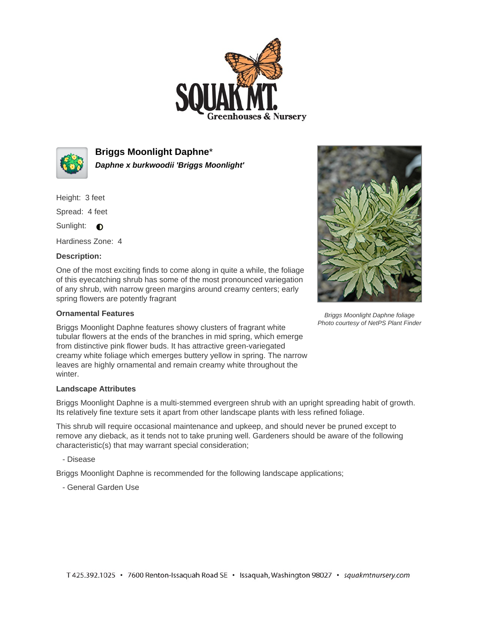



**Briggs Moonlight Daphne**\* **Daphne x burkwoodii 'Briggs Moonlight'**

Height: 3 feet

Spread: 4 feet

Sunlight: **O** 

Hardiness Zone: 4

## **Description:**

One of the most exciting finds to come along in quite a while, the foliage of this eyecatching shrub has some of the most pronounced variegation of any shrub, with narrow green margins around creamy centers; early spring flowers are potently fragrant

## **Ornamental Features**

Briggs Moonlight Daphne features showy clusters of fragrant white tubular flowers at the ends of the branches in mid spring, which emerge from distinctive pink flower buds. It has attractive green-variegated creamy white foliage which emerges buttery yellow in spring. The narrow leaves are highly ornamental and remain creamy white throughout the winter.

## **Landscape Attributes**

Briggs Moonlight Daphne is a multi-stemmed evergreen shrub with an upright spreading habit of growth. Its relatively fine texture sets it apart from other landscape plants with less refined foliage.

This shrub will require occasional maintenance and upkeep, and should never be pruned except to remove any dieback, as it tends not to take pruning well. Gardeners should be aware of the following characteristic(s) that may warrant special consideration;

- Disease

Briggs Moonlight Daphne is recommended for the following landscape applications;

- General Garden Use



Briggs Moonlight Daphne foliage Photo courtesy of NetPS Plant Finder